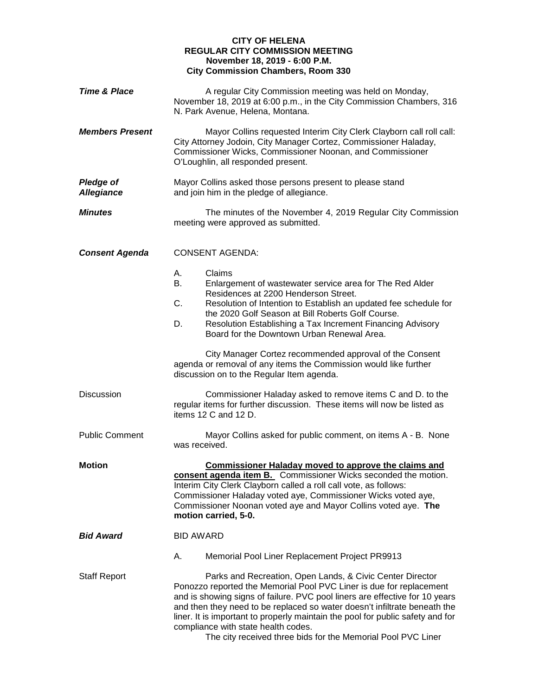## **CITY OF HELENA REGULAR CITY COMMISSION MEETING November 18, 2019 - 6:00 P.M. City Commission Chambers, Room 330**

| <b>Time &amp; Place</b>               | A regular City Commission meeting was held on Monday,<br>November 18, 2019 at 6:00 p.m., in the City Commission Chambers, 316<br>N. Park Avenue, Helena, Montana.                                                                                                                                                                                                                                                                                                                     |
|---------------------------------------|---------------------------------------------------------------------------------------------------------------------------------------------------------------------------------------------------------------------------------------------------------------------------------------------------------------------------------------------------------------------------------------------------------------------------------------------------------------------------------------|
| <b>Members Present</b>                | Mayor Collins requested Interim City Clerk Clayborn call roll call:<br>City Attorney Jodoin, City Manager Cortez, Commissioner Haladay,<br>Commissioner Wicks, Commissioner Noonan, and Commissioner<br>O'Loughlin, all responded present.                                                                                                                                                                                                                                            |
| <b>Pledge of</b><br><b>Allegiance</b> | Mayor Collins asked those persons present to please stand<br>and join him in the pledge of allegiance.                                                                                                                                                                                                                                                                                                                                                                                |
| <b>Minutes</b>                        | The minutes of the November 4, 2019 Regular City Commission<br>meeting were approved as submitted.                                                                                                                                                                                                                                                                                                                                                                                    |
| <b>Consent Agenda</b>                 | <b>CONSENT AGENDA:</b>                                                                                                                                                                                                                                                                                                                                                                                                                                                                |
|                                       | Claims<br>А.<br>В.<br>Enlargement of wastewater service area for The Red Alder<br>Residences at 2200 Henderson Street.<br>C.<br>Resolution of Intention to Establish an updated fee schedule for<br>the 2020 Golf Season at Bill Roberts Golf Course.<br>Resolution Establishing a Tax Increment Financing Advisory<br>D.<br>Board for the Downtown Urban Renewal Area.                                                                                                               |
|                                       | City Manager Cortez recommended approval of the Consent<br>agenda or removal of any items the Commission would like further<br>discussion on to the Regular Item agenda.                                                                                                                                                                                                                                                                                                              |
| <b>Discussion</b>                     | Commissioner Haladay asked to remove items C and D. to the<br>regular items for further discussion. These items will now be listed as<br>items 12 C and 12 D.                                                                                                                                                                                                                                                                                                                         |
| <b>Public Comment</b>                 | Mayor Collins asked for public comment, on items A - B. None<br>was received.                                                                                                                                                                                                                                                                                                                                                                                                         |
| <b>Motion</b>                         | <b>Commissioner Haladay moved to approve the claims and</b><br>consent agenda item B. Commissioner Wicks seconded the motion.<br>Interim City Clerk Clayborn called a roll call vote, as follows:<br>Commissioner Haladay voted aye, Commissioner Wicks voted aye,<br>Commissioner Noonan voted aye and Mayor Collins voted aye. The<br>motion carried, 5-0.                                                                                                                          |
| <b>Bid Award</b>                      | <b>BID AWARD</b>                                                                                                                                                                                                                                                                                                                                                                                                                                                                      |
|                                       | Α.<br>Memorial Pool Liner Replacement Project PR9913                                                                                                                                                                                                                                                                                                                                                                                                                                  |
| <b>Staff Report</b>                   | Parks and Recreation, Open Lands, & Civic Center Director<br>Ponozzo reported the Memorial Pool PVC Liner is due for replacement<br>and is showing signs of failure. PVC pool liners are effective for 10 years<br>and then they need to be replaced so water doesn't infiltrate beneath the<br>liner. It is important to properly maintain the pool for public safety and for<br>compliance with state health codes.<br>The city received three bids for the Memorial Pool PVC Liner |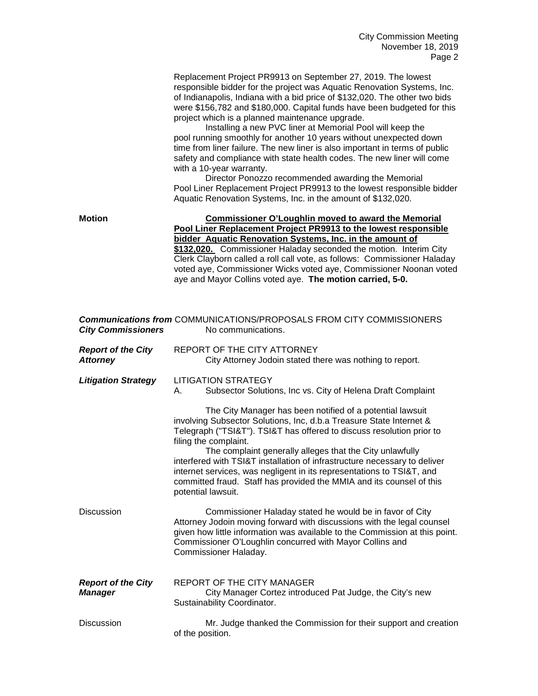Replacement Project PR9913 on September 27, 2019. The lowest responsible bidder for the project was Aquatic Renovation Systems, Inc. of Indianapolis, Indiana with a bid price of \$132,020. The other two bids were \$156,782 and \$180,000. Capital funds have been budgeted for this project which is a planned maintenance upgrade.

Installing a new PVC liner at Memorial Pool will keep the pool running smoothly for another 10 years without unexpected down time from liner failure. The new liner is also important in terms of public safety and compliance with state health codes. The new liner will come with a 10-year warranty.

Director Ponozzo recommended awarding the Memorial Pool Liner Replacement Project PR9913 to the lowest responsible bidder Aquatic Renovation Systems, Inc. in the amount of \$132,020.

| <b>Motion</b> | Commissioner O'Loughlin moved to award the Memorial                                                                                                                                                         |
|---------------|-------------------------------------------------------------------------------------------------------------------------------------------------------------------------------------------------------------|
|               | Pool Liner Replacement Project PR9913 to the lowest responsible                                                                                                                                             |
|               | bidder Aquatic Renovation Systems, Inc. in the amount of                                                                                                                                                    |
|               | \$132,020. Commissioner Haladay seconded the motion. Interim City                                                                                                                                           |
|               | Clerk Clayborn called a roll call vote, as follows: Commissioner Haladay<br>voted aye, Commissioner Wicks voted aye, Commissioner Noonan voted<br>aye and Mayor Collins voted aye. The motion carried, 5-0. |

| <b>City Commissioners</b>                    | <b>Communications from COMMUNICATIONS/PROPOSALS FROM CITY COMMISSIONERS</b><br>No communications.                                                                                                                                                                                                                                                                                                                                                                                                                                                                                                                                              |
|----------------------------------------------|------------------------------------------------------------------------------------------------------------------------------------------------------------------------------------------------------------------------------------------------------------------------------------------------------------------------------------------------------------------------------------------------------------------------------------------------------------------------------------------------------------------------------------------------------------------------------------------------------------------------------------------------|
| <b>Report of the City</b><br><b>Attorney</b> | REPORT OF THE CITY ATTORNEY<br>City Attorney Jodoin stated there was nothing to report.                                                                                                                                                                                                                                                                                                                                                                                                                                                                                                                                                        |
| <b>Litigation Strategy</b>                   | LITIGATION STRATEGY<br>Subsector Solutions, Inc vs. City of Helena Draft Complaint<br>А.<br>The City Manager has been notified of a potential lawsuit<br>involving Subsector Solutions, Inc, d.b.a Treasure State Internet &<br>Telegraph ("TSI&T"). TSI&T has offered to discuss resolution prior to<br>filing the complaint.<br>The complaint generally alleges that the City unlawfully<br>interfered with TSI&T installation of infrastructure necessary to deliver<br>internet services, was negligent in its representations to TSI&T, and<br>committed fraud. Staff has provided the MMIA and its counsel of this<br>potential lawsuit. |
| <b>Discussion</b>                            | Commissioner Haladay stated he would be in favor of City<br>Attorney Jodoin moving forward with discussions with the legal counsel<br>given how little information was available to the Commission at this point.<br>Commissioner O'Loughlin concurred with Mayor Collins and<br>Commissioner Haladay.                                                                                                                                                                                                                                                                                                                                         |
| <b>Report of the City</b><br><b>Manager</b>  | <b>REPORT OF THE CITY MANAGER</b><br>City Manager Cortez introduced Pat Judge, the City's new<br>Sustainability Coordinator.                                                                                                                                                                                                                                                                                                                                                                                                                                                                                                                   |
| <b>Discussion</b>                            | Mr. Judge thanked the Commission for their support and creation<br>of the position.                                                                                                                                                                                                                                                                                                                                                                                                                                                                                                                                                            |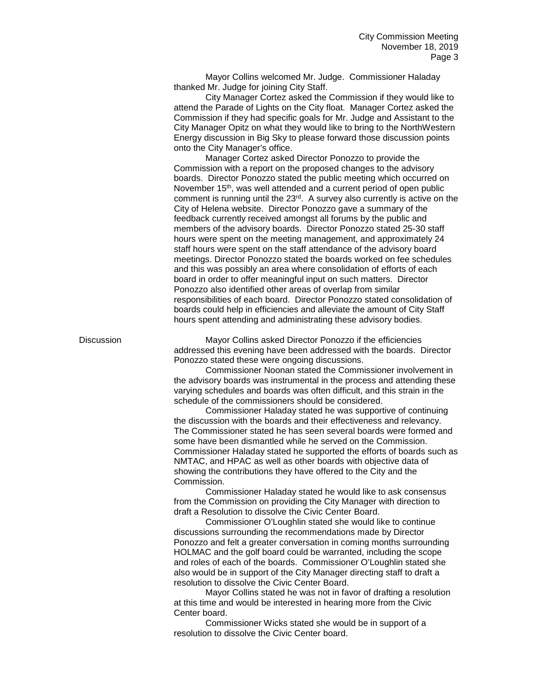Mayor Collins welcomed Mr. Judge. Commissioner Haladay thanked Mr. Judge for joining City Staff.

City Manager Cortez asked the Commission if they would like to attend the Parade of Lights on the City float. Manager Cortez asked the Commission if they had specific goals for Mr. Judge and Assistant to the City Manager Opitz on what they would like to bring to the NorthWestern Energy discussion in Big Sky to please forward those discussion points onto the City Manager's office.

Manager Cortez asked Director Ponozzo to provide the Commission with a report on the proposed changes to the advisory boards. Director Ponozzo stated the public meeting which occurred on November 15<sup>th</sup>, was well attended and a current period of open public comment is running until the 23rd. A survey also currently is active on the City of Helena website. Director Ponozzo gave a summary of the feedback currently received amongst all forums by the public and members of the advisory boards. Director Ponozzo stated 25-30 staff hours were spent on the meeting management, and approximately 24 staff hours were spent on the staff attendance of the advisory board meetings. Director Ponozzo stated the boards worked on fee schedules and this was possibly an area where consolidation of efforts of each board in order to offer meaningful input on such matters. Director Ponozzo also identified other areas of overlap from similar responsibilities of each board. Director Ponozzo stated consolidation of boards could help in efficiencies and alleviate the amount of City Staff hours spent attending and administrating these advisory bodies.

Discussion Mayor Collins asked Director Ponozzo if the efficiencies addressed this evening have been addressed with the boards. Director Ponozzo stated these were ongoing discussions.

> Commissioner Noonan stated the Commissioner involvement in the advisory boards was instrumental in the process and attending these varying schedules and boards was often difficult, and this strain in the schedule of the commissioners should be considered.

> Commissioner Haladay stated he was supportive of continuing the discussion with the boards and their effectiveness and relevancy. The Commissioner stated he has seen several boards were formed and some have been dismantled while he served on the Commission. Commissioner Haladay stated he supported the efforts of boards such as NMTAC, and HPAC as well as other boards with objective data of showing the contributions they have offered to the City and the Commission.

Commissioner Haladay stated he would like to ask consensus from the Commission on providing the City Manager with direction to draft a Resolution to dissolve the Civic Center Board.

Commissioner O'Loughlin stated she would like to continue discussions surrounding the recommendations made by Director Ponozzo and felt a greater conversation in coming months surrounding HOLMAC and the golf board could be warranted, including the scope and roles of each of the boards. Commissioner O'Loughlin stated she also would be in support of the City Manager directing staff to draft a resolution to dissolve the Civic Center Board.

Mayor Collins stated he was not in favor of drafting a resolution at this time and would be interested in hearing more from the Civic Center board.

Commissioner Wicks stated she would be in support of a resolution to dissolve the Civic Center board.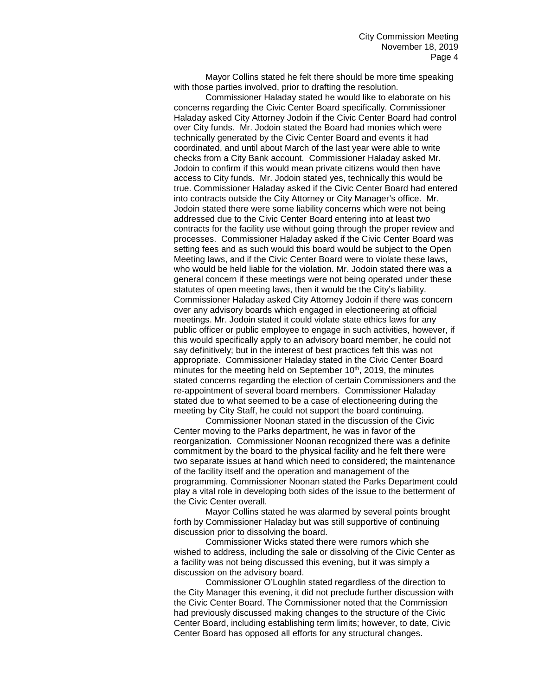Mayor Collins stated he felt there should be more time speaking with those parties involved, prior to drafting the resolution.

Commissioner Haladay stated he would like to elaborate on his concerns regarding the Civic Center Board specifically. Commissioner Haladay asked City Attorney Jodoin if the Civic Center Board had control over City funds. Mr. Jodoin stated the Board had monies which were technically generated by the Civic Center Board and events it had coordinated, and until about March of the last year were able to write checks from a City Bank account. Commissioner Haladay asked Mr. Jodoin to confirm if this would mean private citizens would then have access to City funds. Mr. Jodoin stated yes, technically this would be true. Commissioner Haladay asked if the Civic Center Board had entered into contracts outside the City Attorney or City Manager's office. Mr. Jodoin stated there were some liability concerns which were not being addressed due to the Civic Center Board entering into at least two contracts for the facility use without going through the proper review and processes. Commissioner Haladay asked if the Civic Center Board was setting fees and as such would this board would be subject to the Open Meeting laws, and if the Civic Center Board were to violate these laws, who would be held liable for the violation. Mr. Jodoin stated there was a general concern if these meetings were not being operated under these statutes of open meeting laws, then it would be the City's liability. Commissioner Haladay asked City Attorney Jodoin if there was concern over any advisory boards which engaged in electioneering at official meetings. Mr. Jodoin stated it could violate state ethics laws for any public officer or public employee to engage in such activities, however, if this would specifically apply to an advisory board member, he could not say definitively; but in the interest of best practices felt this was not appropriate. Commissioner Haladay stated in the Civic Center Board minutes for the meeting held on September 10<sup>th</sup>, 2019, the minutes stated concerns regarding the election of certain Commissioners and the re-appointment of several board members. Commissioner Haladay stated due to what seemed to be a case of electioneering during the meeting by City Staff, he could not support the board continuing.

Commissioner Noonan stated in the discussion of the Civic Center moving to the Parks department, he was in favor of the reorganization. Commissioner Noonan recognized there was a definite commitment by the board to the physical facility and he felt there were two separate issues at hand which need to considered; the maintenance of the facility itself and the operation and management of the programming. Commissioner Noonan stated the Parks Department could play a vital role in developing both sides of the issue to the betterment of the Civic Center overall.

Mayor Collins stated he was alarmed by several points brought forth by Commissioner Haladay but was still supportive of continuing discussion prior to dissolving the board.

Commissioner Wicks stated there were rumors which she wished to address, including the sale or dissolving of the Civic Center as a facility was not being discussed this evening, but it was simply a discussion on the advisory board.

Commissioner O'Loughlin stated regardless of the direction to the City Manager this evening, it did not preclude further discussion with the Civic Center Board. The Commissioner noted that the Commission had previously discussed making changes to the structure of the Civic Center Board, including establishing term limits; however, to date, Civic Center Board has opposed all efforts for any structural changes.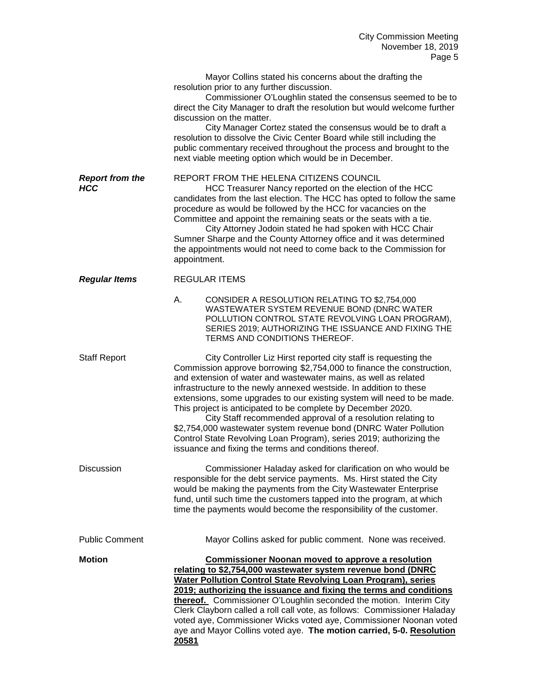Mayor Collins stated his concerns about the drafting the resolution prior to any further discussion.

Commissioner O'Loughlin stated the consensus seemed to be to direct the City Manager to draft the resolution but would welcome further discussion on the matter.

City Manager Cortez stated the consensus would be to draft a resolution to dissolve the Civic Center Board while still including the public commentary received throughout the process and brought to the next viable meeting option which would be in December.

**Report from the BEPORT FROM THE HELENA CITIZENS COUNCIL**<br>HCC Treasurer Nancy reported on the election

HCC Treasurer Nancy reported on the election of the HCC candidates from the last election. The HCC has opted to follow the same procedure as would be followed by the HCC for vacancies on the Committee and appoint the remaining seats or the seats with a tie.

City Attorney Jodoin stated he had spoken with HCC Chair Sumner Sharpe and the County Attorney office and it was determined the appointments would not need to come back to the Commission for appointment.

*Regular Items* REGULAR ITEMS

A. CONSIDER A RESOLUTION RELATING TO \$2,754,000 WASTEWATER SYSTEM REVENUE BOND (DNRC WATER POLLUTION CONTROL STATE REVOLVING LOAN PROGRAM), SERIES 2019; AUTHORIZING THE ISSUANCE AND FIXING THE TERMS AND CONDITIONS THEREOF.

Staff Report City Controller Liz Hirst reported city staff is requesting the Commission approve borrowing \$2,754,000 to finance the construction, and extension of water and wastewater mains, as well as related infrastructure to the newly annexed westside. In addition to these extensions, some upgrades to our existing system will need to be made. This project is anticipated to be complete by December 2020.

City Staff recommended approval of a resolution relating to \$2,754,000 wastewater system revenue bond (DNRC Water Pollution Control State Revolving Loan Program), series 2019; authorizing the issuance and fixing the terms and conditions thereof.

Discussion Commissioner Haladay asked for clarification on who would be responsible for the debt service payments. Ms. Hirst stated the City would be making the payments from the City Wastewater Enterprise fund, until such time the customers tapped into the program, at which time the payments would become the responsibility of the customer.

Public Comment Mayor Collins asked for public comment. None was received.

**Motion Commissioner Noonan moved to approve a resolution relating to \$2,754,000 wastewater system revenue bond (DNRC Water Pollution Control State Revolving Loan Program), series 2019; authorizing the issuance and fixing the terms and conditions thereof.** Commissioner O'Loughlin seconded the motion. Interim City Clerk Clayborn called a roll call vote, as follows: Commissioner Haladay voted aye, Commissioner Wicks voted aye, Commissioner Noonan voted aye and Mayor Collins voted aye. **The motion carried, 5-0. Resolution 20581**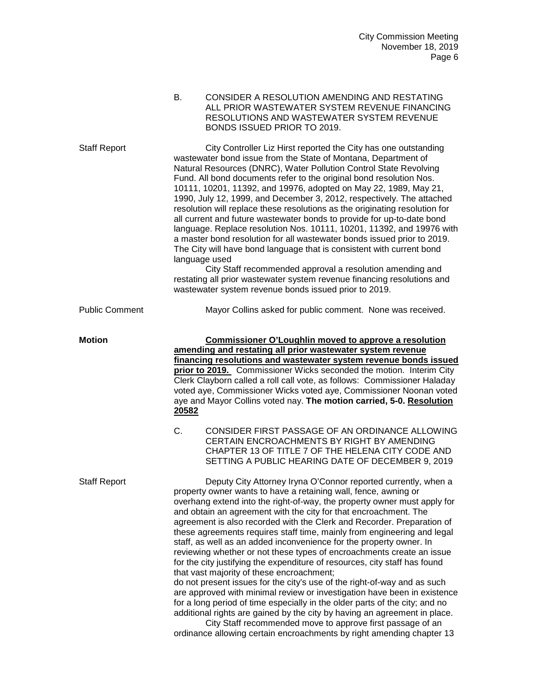|                       | CONSIDER A RESOLUTION AMENDING AND RESTATING<br>В.<br>ALL PRIOR WASTEWATER SYSTEM REVENUE FINANCING<br>RESOLUTIONS AND WASTEWATER SYSTEM REVENUE<br>BONDS ISSUED PRIOR TO 2019.                                                                                                                                                                                                                                                                                                                                                                                                                                                                                                                                                                                                                                                                                                                                                                                                                                                    |
|-----------------------|------------------------------------------------------------------------------------------------------------------------------------------------------------------------------------------------------------------------------------------------------------------------------------------------------------------------------------------------------------------------------------------------------------------------------------------------------------------------------------------------------------------------------------------------------------------------------------------------------------------------------------------------------------------------------------------------------------------------------------------------------------------------------------------------------------------------------------------------------------------------------------------------------------------------------------------------------------------------------------------------------------------------------------|
| <b>Staff Report</b>   | City Controller Liz Hirst reported the City has one outstanding<br>wastewater bond issue from the State of Montana, Department of<br>Natural Resources (DNRC), Water Pollution Control State Revolving<br>Fund. All bond documents refer to the original bond resolution Nos.<br>10111, 10201, 11392, and 19976, adopted on May 22, 1989, May 21,<br>1990, July 12, 1999, and December 3, 2012, respectively. The attached<br>resolution will replace these resolutions as the originating resolution for<br>all current and future wastewater bonds to provide for up-to-date bond<br>language. Replace resolution Nos. 10111, 10201, 11392, and 19976 with<br>a master bond resolution for all wastewater bonds issued prior to 2019.<br>The City will have bond language that is consistent with current bond<br>language used<br>City Staff recommended approval a resolution amending and<br>restating all prior wastewater system revenue financing resolutions and<br>wastewater system revenue bonds issued prior to 2019. |
| <b>Public Comment</b> | Mayor Collins asked for public comment. None was received.                                                                                                                                                                                                                                                                                                                                                                                                                                                                                                                                                                                                                                                                                                                                                                                                                                                                                                                                                                         |
| Motion                | <b>Commissioner O'Loughlin moved to approve a resolution</b><br>amending and restating all prior wastewater system revenue<br>financing resolutions and wastewater system revenue bonds issued<br>prior to 2019. Commissioner Wicks seconded the motion. Interim City<br>Clerk Clayborn called a roll call vote, as follows: Commissioner Haladay<br>voted aye, Commissioner Wicks voted aye, Commissioner Noonan voted<br>aye and Mayor Collins voted nay. The motion carried, 5-0. Resolution<br>20582                                                                                                                                                                                                                                                                                                                                                                                                                                                                                                                           |
|                       | C.<br>CONSIDER FIRST PASSAGE OF AN ORDINANCE ALLOWING<br>CERTAIN ENCROACHMENTS BY RIGHT BY AMENDING<br>CHAPTER 13 OF TITLE 7 OF THE HELENA CITY CODE AND<br>SETTING A PUBLIC HEARING DATE OF DECEMBER 9, 2019                                                                                                                                                                                                                                                                                                                                                                                                                                                                                                                                                                                                                                                                                                                                                                                                                      |
| Staff Report          | Deputy City Attorney Iryna O'Connor reported currently, when a<br>property owner wants to have a retaining wall, fence, awning or<br>overhang extend into the right-of-way, the property owner must apply for<br>and obtain an agreement with the city for that encroachment. The<br>agreement is also recorded with the Clerk and Recorder. Preparation of<br>these agreements requires staff time, mainly from engineering and legal<br>staff, as well as an added inconvenience for the property owner. In<br>reviewing whether or not these types of encroachments create an issue<br>for the city justifying the expenditure of resources, city staff has found<br>that vast majority of these encroachment;<br>do not present issues for the city's use of the right-of-way and as such<br>are approved with minimal review or investigation have been in existence<br>for a long period of time especially in the older parts of the city; and no                                                                           |

additional rights are gained by the city by having an agreement in place. City Staff recommended move to approve first passage of an ordinance allowing certain encroachments by right amending chapter 13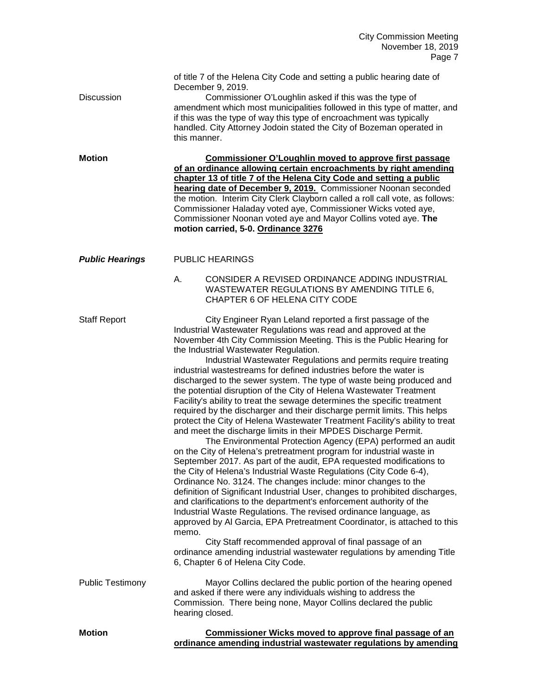| Discussion              | of title 7 of the Helena City Code and setting a public hearing date of<br>December 9, 2019.<br>Commissioner O'Loughlin asked if this was the type of<br>amendment which most municipalities followed in this type of matter, and<br>if this was the type of way this type of encroachment was typically<br>handled. City Attorney Jodoin stated the City of Bozeman operated in<br>this manner.                                                                                                                                                                                                                                                                                                                                                                                                                                                                                                                                                                                                                                                                                                                                                                                                                                                                                                                                                                                                                                                                                                                                                                                                                                                                                             |
|-------------------------|----------------------------------------------------------------------------------------------------------------------------------------------------------------------------------------------------------------------------------------------------------------------------------------------------------------------------------------------------------------------------------------------------------------------------------------------------------------------------------------------------------------------------------------------------------------------------------------------------------------------------------------------------------------------------------------------------------------------------------------------------------------------------------------------------------------------------------------------------------------------------------------------------------------------------------------------------------------------------------------------------------------------------------------------------------------------------------------------------------------------------------------------------------------------------------------------------------------------------------------------------------------------------------------------------------------------------------------------------------------------------------------------------------------------------------------------------------------------------------------------------------------------------------------------------------------------------------------------------------------------------------------------------------------------------------------------|
| <b>Motion</b>           | <b>Commissioner O'Loughlin moved to approve first passage</b><br>of an ordinance allowing certain encroachments by right amending<br>chapter 13 of title 7 of the Helena City Code and setting a public<br>hearing date of December 9, 2019. Commissioner Noonan seconded<br>the motion. Interim City Clerk Clayborn called a roll call vote, as follows:<br>Commissioner Haladay voted aye, Commissioner Wicks voted aye,<br>Commissioner Noonan voted aye and Mayor Collins voted aye. The<br>motion carried, 5-0. Ordinance 3276                                                                                                                                                                                                                                                                                                                                                                                                                                                                                                                                                                                                                                                                                                                                                                                                                                                                                                                                                                                                                                                                                                                                                          |
| <b>Public Hearings</b>  | <b>PUBLIC HEARINGS</b>                                                                                                                                                                                                                                                                                                                                                                                                                                                                                                                                                                                                                                                                                                                                                                                                                                                                                                                                                                                                                                                                                                                                                                                                                                                                                                                                                                                                                                                                                                                                                                                                                                                                       |
|                         | CONSIDER A REVISED ORDINANCE ADDING INDUSTRIAL<br>А.<br>WASTEWATER REGULATIONS BY AMENDING TITLE 6,<br>CHAPTER 6 OF HELENA CITY CODE                                                                                                                                                                                                                                                                                                                                                                                                                                                                                                                                                                                                                                                                                                                                                                                                                                                                                                                                                                                                                                                                                                                                                                                                                                                                                                                                                                                                                                                                                                                                                         |
| <b>Staff Report</b>     | City Engineer Ryan Leland reported a first passage of the<br>Industrial Wastewater Regulations was read and approved at the<br>November 4th City Commission Meeting. This is the Public Hearing for<br>the Industrial Wastewater Regulation.<br>Industrial Wastewater Regulations and permits require treating<br>industrial wastestreams for defined industries before the water is<br>discharged to the sewer system. The type of waste being produced and<br>the potential disruption of the City of Helena Wastewater Treatment<br>Facility's ability to treat the sewage determines the specific treatment<br>required by the discharger and their discharge permit limits. This helps<br>protect the City of Helena Wastewater Treatment Facility's ability to treat<br>and meet the discharge limits in their MPDES Discharge Permit.<br>The Environmental Protection Agency (EPA) performed an audit<br>on the City of Helena's pretreatment program for industrial waste in<br>September 2017. As part of the audit, EPA requested modifications to<br>the City of Helena's Industrial Waste Regulations (City Code 6-4),<br>Ordinance No. 3124. The changes include: minor changes to the<br>definition of Significant Industrial User, changes to prohibited discharges,<br>and clarifications to the department's enforcement authority of the<br>Industrial Waste Regulations. The revised ordinance language, as<br>approved by Al Garcia, EPA Pretreatment Coordinator, is attached to this<br>memo.<br>City Staff recommended approval of final passage of an<br>ordinance amending industrial wastewater regulations by amending Title<br>6, Chapter 6 of Helena City Code. |
| <b>Public Testimony</b> | Mayor Collins declared the public portion of the hearing opened<br>and asked if there were any individuals wishing to address the<br>Commission. There being none, Mayor Collins declared the public<br>hearing closed.                                                                                                                                                                                                                                                                                                                                                                                                                                                                                                                                                                                                                                                                                                                                                                                                                                                                                                                                                                                                                                                                                                                                                                                                                                                                                                                                                                                                                                                                      |
| <b>Motion</b>           | <b>Commissioner Wicks moved to approve final passage of an</b>                                                                                                                                                                                                                                                                                                                                                                                                                                                                                                                                                                                                                                                                                                                                                                                                                                                                                                                                                                                                                                                                                                                                                                                                                                                                                                                                                                                                                                                                                                                                                                                                                               |

**ordinance amending industrial wastewater regulations by amending**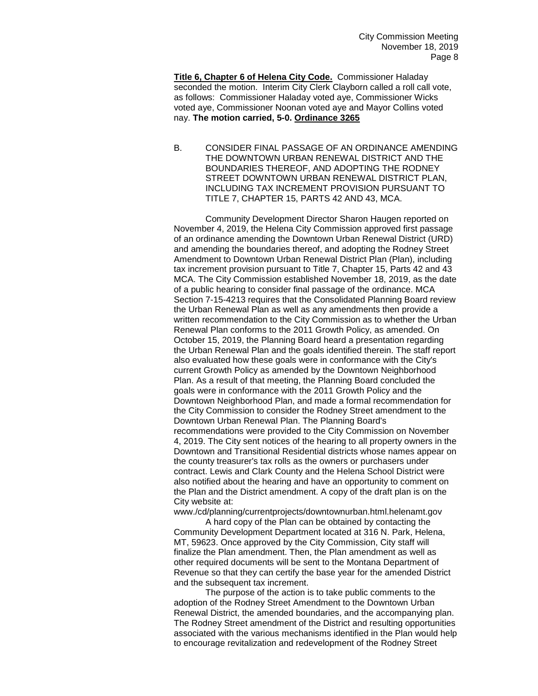**Title 6, Chapter 6 of Helena City Code.** Commissioner Haladay seconded the motion. Interim City Clerk Clayborn called a roll call vote, as follows: Commissioner Haladay voted aye, Commissioner Wicks voted aye, Commissioner Noonan voted aye and Mayor Collins voted nay. **The motion carried, 5-0. Ordinance 3265**

B. CONSIDER FINAL PASSAGE OF AN ORDINANCE AMENDING THE DOWNTOWN URBAN RENEWAL DISTRICT AND THE BOUNDARIES THEREOF, AND ADOPTING THE RODNEY STREET DOWNTOWN URBAN RENEWAL DISTRICT PLAN, INCLUDING TAX INCREMENT PROVISION PURSUANT TO TITLE 7, CHAPTER 15, PARTS 42 AND 43, MCA.

Community Development Director Sharon Haugen reported on November 4, 2019, the Helena City Commission approved first passage of an ordinance amending the Downtown Urban Renewal District (URD) and amending the boundaries thereof, and adopting the Rodney Street Amendment to Downtown Urban Renewal District Plan (Plan), including tax increment provision pursuant to Title 7, Chapter 15, Parts 42 and 43 MCA. The City Commission established November 18, 2019, as the date of a public hearing to consider final passage of the ordinance. MCA Section 7-15-4213 requires that the Consolidated Planning Board review the Urban Renewal Plan as well as any amendments then provide a written recommendation to the City Commission as to whether the Urban Renewal Plan conforms to the 2011 Growth Policy, as amended. On October 15, 2019, the Planning Board heard a presentation regarding the Urban Renewal Plan and the goals identified therein. The staff report also evaluated how these goals were in conformance with the City's current Growth Policy as amended by the Downtown Neighborhood Plan. As a result of that meeting, the Planning Board concluded the goals were in conformance with the 2011 Growth Policy and the Downtown Neighborhood Plan, and made a formal recommendation for the City Commission to consider the Rodney Street amendment to the Downtown Urban Renewal Plan. The Planning Board's recommendations were provided to the City Commission on November 4, 2019. The City sent notices of the hearing to all property owners in the Downtown and Transitional Residential districts whose names appear on the county treasurer's tax rolls as the owners or purchasers under contract. Lewis and Clark County and the Helena School District were also notified about the hearing and have an opportunity to comment on the Plan and the District amendment. A copy of the draft plan is on the City website at:

www./cd/planning/currentprojects/downtownurban.html.helenamt.gov

A hard copy of the Plan can be obtained by contacting the Community Development Department located at 316 N. Park, Helena, MT, 59623. Once approved by the City Commission, City staff will finalize the Plan amendment. Then, the Plan amendment as well as other required documents will be sent to the Montana Department of Revenue so that they can certify the base year for the amended District and the subsequent tax increment.

The purpose of the action is to take public comments to the adoption of the Rodney Street Amendment to the Downtown Urban Renewal District, the amended boundaries, and the accompanying plan. The Rodney Street amendment of the District and resulting opportunities associated with the various mechanisms identified in the Plan would help to encourage revitalization and redevelopment of the Rodney Street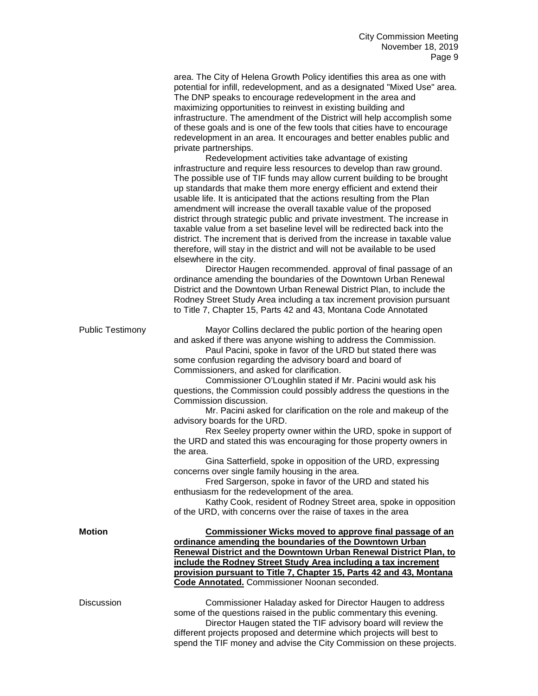|                         | area. The City of Helena Growth Policy identifies this area as one with<br>potential for infill, redevelopment, and as a designated "Mixed Use" area.<br>The DNP speaks to encourage redevelopment in the area and<br>maximizing opportunities to reinvest in existing building and<br>infrastructure. The amendment of the District will help accomplish some<br>of these goals and is one of the few tools that cities have to encourage<br>redevelopment in an area. It encourages and better enables public and<br>private partnerships.<br>Redevelopment activities take advantage of existing<br>infrastructure and require less resources to develop than raw ground.<br>The possible use of TIF funds may allow current building to be brought<br>up standards that make them more energy efficient and extend their<br>usable life. It is anticipated that the actions resulting from the Plan<br>amendment will increase the overall taxable value of the proposed<br>district through strategic public and private investment. The increase in<br>taxable value from a set baseline level will be redirected back into the<br>district. The increment that is derived from the increase in taxable value<br>therefore, will stay in the district and will not be available to be used<br>elsewhere in the city.<br>Director Haugen recommended. approval of final passage of an<br>ordinance amending the boundaries of the Downtown Urban Renewal<br>District and the Downtown Urban Renewal District Plan, to include the<br>Rodney Street Study Area including a tax increment provision pursuant<br>to Title 7, Chapter 15, Parts 42 and 43, Montana Code Annotated |
|-------------------------|------------------------------------------------------------------------------------------------------------------------------------------------------------------------------------------------------------------------------------------------------------------------------------------------------------------------------------------------------------------------------------------------------------------------------------------------------------------------------------------------------------------------------------------------------------------------------------------------------------------------------------------------------------------------------------------------------------------------------------------------------------------------------------------------------------------------------------------------------------------------------------------------------------------------------------------------------------------------------------------------------------------------------------------------------------------------------------------------------------------------------------------------------------------------------------------------------------------------------------------------------------------------------------------------------------------------------------------------------------------------------------------------------------------------------------------------------------------------------------------------------------------------------------------------------------------------------------------------------------------------------------------------------------------------------------|
| <b>Public Testimony</b> | Mayor Collins declared the public portion of the hearing open<br>and asked if there was anyone wishing to address the Commission.<br>Paul Pacini, spoke in favor of the URD but stated there was<br>some confusion regarding the advisory board and board of<br>Commissioners, and asked for clarification.<br>Commissioner O'Loughlin stated if Mr. Pacini would ask his<br>questions, the Commission could possibly address the questions in the<br>Commission discussion.<br>Mr. Pacini asked for clarification on the role and makeup of the<br>advisory boards for the URD.<br>Rex Seeley property owner within the URD, spoke in support of<br>the URD and stated this was encouraging for those property owners in<br>the area.<br>Gina Satterfield, spoke in opposition of the URD, expressing<br>concerns over single family housing in the area.<br>Fred Sargerson, spoke in favor of the URD and stated his<br>enthusiasm for the redevelopment of the area.<br>Kathy Cook, resident of Rodney Street area, spoke in opposition<br>of the URD, with concerns over the raise of taxes in the area                                                                                                                                                                                                                                                                                                                                                                                                                                                                                                                                                                        |
| <b>Motion</b>           | Commissioner Wicks moved to approve final passage of an<br>ordinance amending the boundaries of the Downtown Urban<br>Renewal District and the Downtown Urban Renewal District Plan, to<br>include the Rodney Street Study Area including a tax increment<br>provision pursuant to Title 7, Chapter 15, Parts 42 and 43, Montana<br><b>Code Annotated.</b> Commissioner Noonan seconded.                                                                                                                                                                                                                                                                                                                                                                                                                                                                                                                                                                                                                                                                                                                                                                                                                                                                                                                                                                                                                                                                                                                                                                                                                                                                                           |
| <b>Discussion</b>       | Commissioner Haladay asked for Director Haugen to address<br>some of the questions raised in the public commentary this evening.<br>Director Haugen stated the TIF advisory board will review the                                                                                                                                                                                                                                                                                                                                                                                                                                                                                                                                                                                                                                                                                                                                                                                                                                                                                                                                                                                                                                                                                                                                                                                                                                                                                                                                                                                                                                                                                  |

different projects proposed and determine which projects will best to spend the TIF money and advise the City Commission on these projects.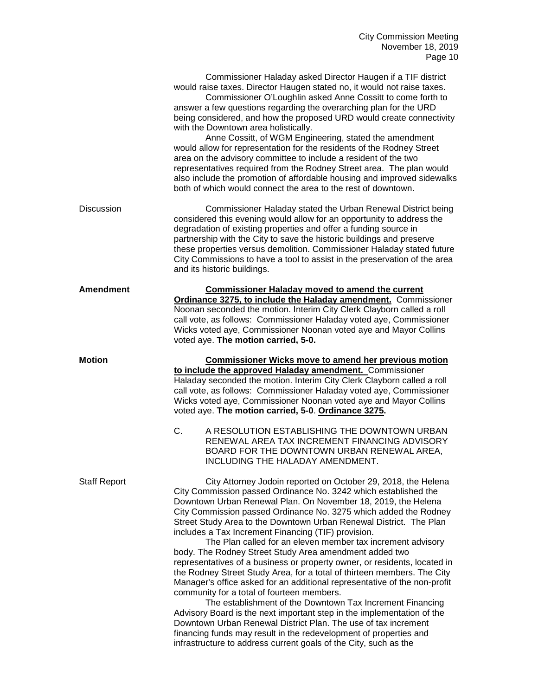|                     | Commissioner Haladay asked Director Haugen if a TIF district<br>would raise taxes. Director Haugen stated no, it would not raise taxes.<br>Commissioner O'Loughlin asked Anne Cossitt to come forth to<br>answer a few questions regarding the overarching plan for the URD<br>being considered, and how the proposed URD would create connectivity<br>with the Downtown area holistically.<br>Anne Cossitt, of WGM Engineering, stated the amendment<br>would allow for representation for the residents of the Rodney Street<br>area on the advisory committee to include a resident of the two<br>representatives required from the Rodney Street area. The plan would<br>also include the promotion of affordable housing and improved sidewalks<br>both of which would connect the area to the rest of downtown.                                                                                                                                                                                                                                                                                                                                                                                |
|---------------------|------------------------------------------------------------------------------------------------------------------------------------------------------------------------------------------------------------------------------------------------------------------------------------------------------------------------------------------------------------------------------------------------------------------------------------------------------------------------------------------------------------------------------------------------------------------------------------------------------------------------------------------------------------------------------------------------------------------------------------------------------------------------------------------------------------------------------------------------------------------------------------------------------------------------------------------------------------------------------------------------------------------------------------------------------------------------------------------------------------------------------------------------------------------------------------------------------|
| <b>Discussion</b>   | Commissioner Haladay stated the Urban Renewal District being<br>considered this evening would allow for an opportunity to address the<br>degradation of existing properties and offer a funding source in<br>partnership with the City to save the historic buildings and preserve<br>these properties versus demolition. Commissioner Haladay stated future<br>City Commissions to have a tool to assist in the preservation of the area<br>and its historic buildings.                                                                                                                                                                                                                                                                                                                                                                                                                                                                                                                                                                                                                                                                                                                             |
| <b>Amendment</b>    | <b>Commissioner Haladay moved to amend the current</b><br>Ordinance 3275, to include the Haladay amendment. Commissioner<br>Noonan seconded the motion. Interim City Clerk Clayborn called a roll<br>call vote, as follows: Commissioner Haladay voted aye, Commissioner<br>Wicks voted aye, Commissioner Noonan voted aye and Mayor Collins<br>voted aye. The motion carried, 5-0.                                                                                                                                                                                                                                                                                                                                                                                                                                                                                                                                                                                                                                                                                                                                                                                                                  |
| <b>Motion</b>       | <b>Commissioner Wicks move to amend her previous motion</b><br>to include the approved Haladay amendment. Commissioner<br>Haladay seconded the motion. Interim City Clerk Clayborn called a roll<br>call vote, as follows: Commissioner Haladay voted aye, Commissioner<br>Wicks voted aye, Commissioner Noonan voted aye and Mayor Collins<br>voted aye. The motion carried, 5-0. Ordinance 3275.<br>C.<br>A RESOLUTION ESTABLISHING THE DOWNTOWN URBAN<br>RENEWAL AREA TAX INCREMENT FINANCING ADVISORY<br>BOARD FOR THE DOWNTOWN URBAN RENEWAL AREA,                                                                                                                                                                                                                                                                                                                                                                                                                                                                                                                                                                                                                                              |
| <b>Staff Report</b> | INCLUDING THE HALADAY AMENDMENT.<br>City Attorney Jodoin reported on October 29, 2018, the Helena<br>City Commission passed Ordinance No. 3242 which established the<br>Downtown Urban Renewal Plan. On November 18, 2019, the Helena<br>City Commission passed Ordinance No. 3275 which added the Rodney<br>Street Study Area to the Downtown Urban Renewal District. The Plan<br>includes a Tax Increment Financing (TIF) provision.<br>The Plan called for an eleven member tax increment advisory<br>body. The Rodney Street Study Area amendment added two<br>representatives of a business or property owner, or residents, located in<br>the Rodney Street Study Area, for a total of thirteen members. The City<br>Manager's office asked for an additional representative of the non-profit<br>community for a total of fourteen members.<br>The establishment of the Downtown Tax Increment Financing<br>Advisory Board is the next important step in the implementation of the<br>Downtown Urban Renewal District Plan. The use of tax increment<br>financing funds may result in the redevelopment of properties and<br>infrastructure to address current goals of the City, such as the |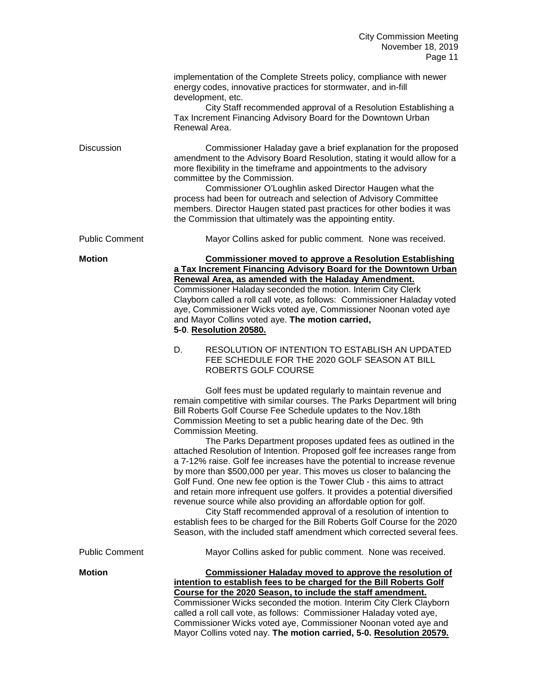|                       | implementation of the Complete Streets policy, compliance with newer<br>energy codes, innovative practices for stormwater, and in-fill<br>development, etc.<br>City Staff recommended approval of a Resolution Establishing a<br>Tax Increment Financing Advisory Board for the Downtown Urban<br>Renewal Area.                                                                                                                                                                                                                                                                                                                                                                                                                                                                                                                                                                                                                                                                                                                                                  |
|-----------------------|------------------------------------------------------------------------------------------------------------------------------------------------------------------------------------------------------------------------------------------------------------------------------------------------------------------------------------------------------------------------------------------------------------------------------------------------------------------------------------------------------------------------------------------------------------------------------------------------------------------------------------------------------------------------------------------------------------------------------------------------------------------------------------------------------------------------------------------------------------------------------------------------------------------------------------------------------------------------------------------------------------------------------------------------------------------|
| <b>Discussion</b>     | Commissioner Haladay gave a brief explanation for the proposed<br>amendment to the Advisory Board Resolution, stating it would allow for a<br>more flexibility in the timeframe and appointments to the advisory<br>committee by the Commission.<br>Commissioner O'Loughlin asked Director Haugen what the<br>process had been for outreach and selection of Advisory Committee<br>members. Director Haugen stated past practices for other bodies it was<br>the Commission that ultimately was the appointing entity.                                                                                                                                                                                                                                                                                                                                                                                                                                                                                                                                           |
| <b>Public Comment</b> | Mayor Collins asked for public comment. None was received.                                                                                                                                                                                                                                                                                                                                                                                                                                                                                                                                                                                                                                                                                                                                                                                                                                                                                                                                                                                                       |
| <b>Motion</b>         | <b>Commissioner moved to approve a Resolution Establishing</b><br>a Tax Increment Financing Advisory Board for the Downtown Urban<br>Renewal Area, as amended with the Haladay Amendment.<br>Commissioner Haladay seconded the motion. Interim City Clerk<br>Clayborn called a roll call vote, as follows: Commissioner Haladay voted<br>aye, Commissioner Wicks voted aye, Commissioner Noonan voted aye<br>and Mayor Collins voted aye. The motion carried,<br>5-0. Resolution 20580.                                                                                                                                                                                                                                                                                                                                                                                                                                                                                                                                                                          |
|                       | D.<br>RESOLUTION OF INTENTION TO ESTABLISH AN UPDATED<br>FEE SCHEDULE FOR THE 2020 GOLF SEASON AT BILL<br>ROBERTS GOLF COURSE                                                                                                                                                                                                                                                                                                                                                                                                                                                                                                                                                                                                                                                                                                                                                                                                                                                                                                                                    |
|                       | Golf fees must be updated regularly to maintain revenue and<br>remain competitive with similar courses. The Parks Department will bring<br>Bill Roberts Golf Course Fee Schedule updates to the Nov.18th<br>Commission Meeting to set a public hearing date of the Dec. 9th<br>Commission Meeting.<br>The Parks Department proposes updated fees as outlined in the<br>attached Resolution of Intention. Proposed golf fee increases range from<br>a 7-12% raise. Golf fee increases have the potential to increase revenue<br>by more than \$500,000 per year. This moves us closer to balancing the<br>Golf Fund. One new fee option is the Tower Club - this aims to attract<br>and retain more infrequent use golfers. It provides a potential diversified<br>revenue source while also providing an affordable option for golf.<br>City Staff recommended approval of a resolution of intention to<br>establish fees to be charged for the Bill Roberts Golf Course for the 2020<br>Season, with the included staff amendment which corrected several fees. |
| <b>Public Comment</b> | Mayor Collins asked for public comment. None was received.                                                                                                                                                                                                                                                                                                                                                                                                                                                                                                                                                                                                                                                                                                                                                                                                                                                                                                                                                                                                       |
| <b>Motion</b>         | <b>Commissioner Haladay moved to approve the resolution of</b><br>intention to establish fees to be charged for the Bill Roberts Golf<br>Course for the 2020 Season, to include the staff amendment.<br>Commissioner Wicks seconded the motion. Interim City Clerk Clayborn<br>called a roll call vote, as follows: Commissioner Haladay voted aye,<br>Commissioner Wicks voted aye, Commissioner Noonan voted aye and<br>Mayor Collins voted nay. The motion carried, 5-0. Resolution 20579.                                                                                                                                                                                                                                                                                                                                                                                                                                                                                                                                                                    |